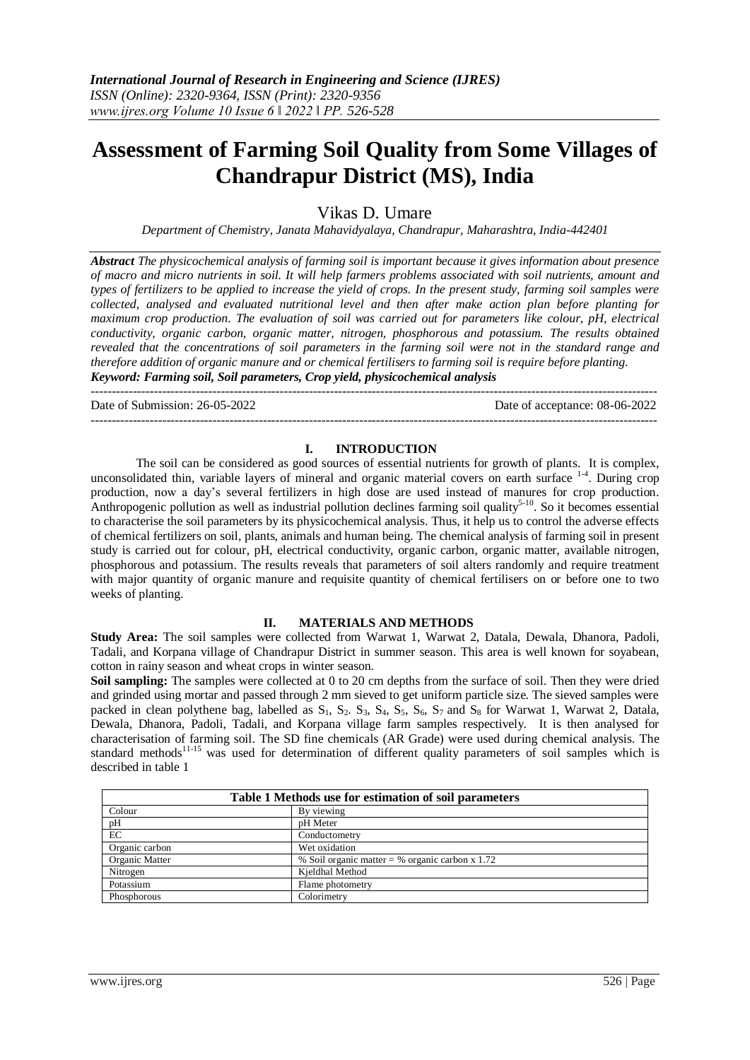---------------------------------------------------------------------------------------------------------------------------------------

# **Assessment of Farming Soil Quality from Some Villages of Chandrapur District (MS), India**

Vikas D. Umare

*Department of Chemistry, Janata Mahavidyalaya, Chandrapur, Maharashtra, India-442401*

*Abstract The physicochemical analysis of farming soil is important because it gives information about presence of macro and micro nutrients in soil. It will help farmers problems associated with soil nutrients, amount and types of fertilizers to be applied to increase the yield of crops. In the present study, farming soil samples were collected, analysed and evaluated nutritional level and then after make action plan before planting for maximum crop production. The evaluation of soil was carried out for parameters like colour, pH, electrical conductivity, organic carbon, organic matter, nitrogen, phosphorous and potassium. The results obtained revealed that the concentrations of soil parameters in the farming soil were not in the standard range and therefore addition of organic manure and or chemical fertilisers to farming soil is require before planting. Keyword: Farming soil, Soil parameters, Crop yield, physicochemical analysis*

Date of Submission: 26-05-2022 Date of acceptance: 08-06-2022

# **I. INTRODUCTION**

---------------------------------------------------------------------------------------------------------------------------------------

The soil can be considered as good sources of essential nutrients for growth of plants. It is complex, unconsolidated thin, variable layers of mineral and organic material covers on earth surface <sup>1-4</sup>. During crop production, now a day's several fertilizers in high dose are used instead of manures for crop production. Anthropogenic pollution as well as industrial pollution declines farming soil quality<sup>5-10</sup>. So it becomes essential to characterise the soil parameters by its physicochemical analysis. Thus, it help us to control the adverse effects of chemical fertilizers on soil, plants, animals and human being. The chemical analysis of farming soil in present study is carried out for colour, pH, electrical conductivity, organic carbon, organic matter, available nitrogen, phosphorous and potassium. The results reveals that parameters of soil alters randomly and require treatment with major quantity of organic manure and requisite quantity of chemical fertilisers on or before one to two weeks of planting.

### **II. MATERIALS AND METHODS**

**Study Area:** The soil samples were collected from Warwat 1, Warwat 2, Datala, Dewala, Dhanora, Padoli, Tadali, and Korpana village of Chandrapur District in summer season. This area is well known for soyabean, cotton in rainy season and wheat crops in winter season.

**Soil sampling:** The samples were collected at 0 to 20 cm depths from the surface of soil. Then they were dried and grinded using mortar and passed through 2 mm sieved to get uniform particle size. The sieved samples were packed in clean polythene bag, labelled as  $S_1$ ,  $S_2$ ,  $S_3$ ,  $S_4$ ,  $S_5$ ,  $S_6$ ,  $S_7$  and  $S_8$  for Warwat 1, Warwat 2, Datala, Dewala, Dhanora, Padoli, Tadali, and Korpana village farm samples respectively. It is then analysed for characterisation of farming soil. The SD fine chemicals (AR Grade) were used during chemical analysis. The standard methods<sup>11-15</sup> was used for determination of different quality parameters of soil samples which is described in table 1

| Table 1 Methods use for estimation of soil parameters |                                                   |  |  |  |  |  |
|-------------------------------------------------------|---------------------------------------------------|--|--|--|--|--|
| Colour                                                | By viewing                                        |  |  |  |  |  |
| pH                                                    | pH Meter                                          |  |  |  |  |  |
| EC                                                    | Conductometry                                     |  |  |  |  |  |
| Organic carbon                                        | Wet oxidation                                     |  |  |  |  |  |
| Organic Matter                                        | % Soil organic matter = % organic carbon $x$ 1.72 |  |  |  |  |  |
| Nitrogen                                              | Kjeldhal Method                                   |  |  |  |  |  |
| Potassium                                             | Flame photometry                                  |  |  |  |  |  |
| Phosphorous                                           | Colorimetry                                       |  |  |  |  |  |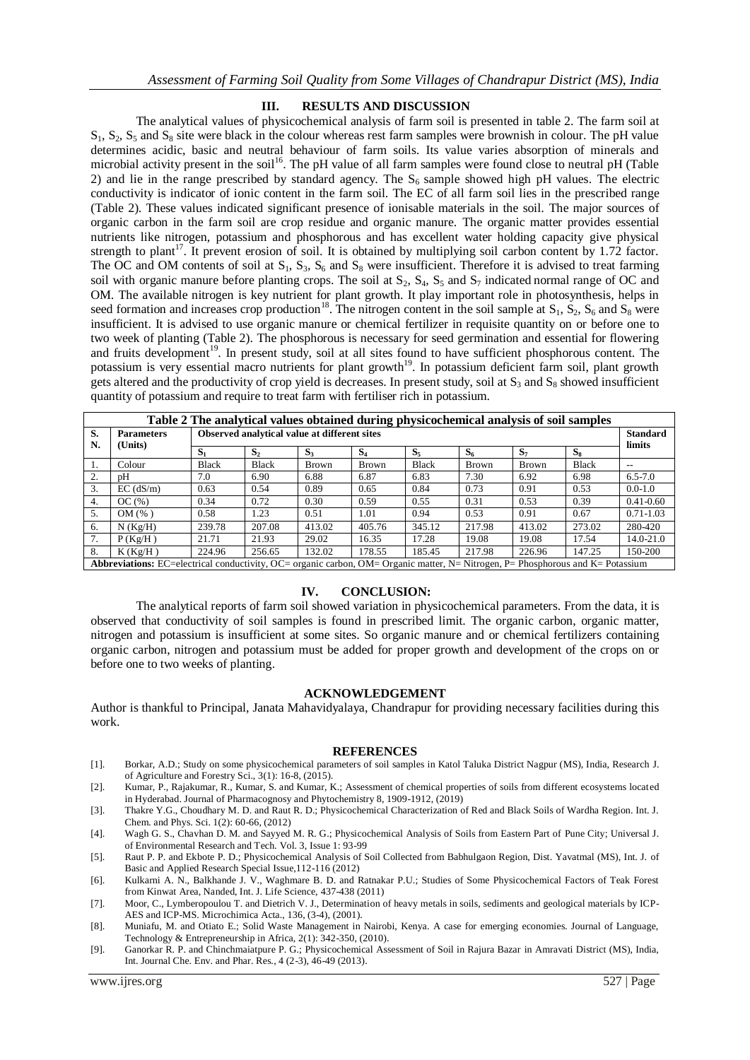## **III. RESULTS AND DISCUSSION**

The analytical values of physicochemical analysis of farm soil is presented in table 2. The farm soil at  $S_1$ ,  $S_2$ ,  $S_5$  and  $S_8$  site were black in the colour whereas rest farm samples were brownish in colour. The pH value determines acidic, basic and neutral behaviour of farm soils. Its value varies absorption of minerals and microbial activity present in the soil<sup>16</sup>. The pH value of all farm samples were found close to neutral pH (Table 2) and lie in the range prescribed by standard agency. The  $S_6$  sample showed high pH values. The electric conductivity is indicator of ionic content in the farm soil. The EC of all farm soil lies in the prescribed range (Table 2). These values indicated significant presence of ionisable materials in the soil. The major sources of organic carbon in the farm soil are crop residue and organic manure. The organic matter provides essential nutrients like nitrogen, potassium and phosphorous and has excellent water holding capacity give physical strength to plant<sup>17</sup>. It prevent erosion of soil. It is obtained by multiplying soil carbon content by 1.72 factor. The OC and OM contents of soil at  $S_1$ ,  $S_3$ ,  $S_6$  and  $S_8$  were insufficient. Therefore it is advised to treat farming soil with organic manure before planting crops. The soil at  $S_2$ ,  $S_4$ ,  $S_5$  and  $S_7$  indicated normal range of OC and OM. The available nitrogen is key nutrient for plant growth. It play important role in photosynthesis, helps in seed formation and increases crop production<sup>18</sup>. The nitrogen content in the soil sample at  $S_1$ ,  $S_2$ ,  $S_6$  and  $S_8$  were insufficient. It is advised to use organic manure or chemical fertilizer in requisite quantity on or before one to two week of planting (Table 2). The phosphorous is necessary for seed germination and essential for flowering and fruits development<sup>19</sup>. In present study, soil at all sites found to have sufficient phosphorous content. The potassium is very essential macro nutrients for plant growth<sup>19</sup>. In potassium deficient farm soil, plant growth gets altered and the productivity of crop yield is decreases. In present study, soil at  $S_3$  and  $S_8$  showed insufficient quantity of potassium and require to treat farm with fertiliser rich in potassium.

| Table 2 The analytical values obtained during physicochemical analysis of soil samples                                          |                              |                                              |                |                |              |        |              |        |              |                 |  |  |
|---------------------------------------------------------------------------------------------------------------------------------|------------------------------|----------------------------------------------|----------------|----------------|--------------|--------|--------------|--------|--------------|-----------------|--|--|
| S.<br>N.                                                                                                                        | <b>Parameters</b><br>(Units) | Observed analytical value at different sites |                |                |              |        |              |        |              | <b>Standard</b> |  |  |
|                                                                                                                                 |                              | $S_1$                                        | S <sub>2</sub> | S <sub>3</sub> | $S_4$        | $S_5$  | $S_6$        | $S_7$  | $S_8$        | limits          |  |  |
|                                                                                                                                 | Colour                       | <b>Black</b>                                 | <b>Black</b>   | <b>Brown</b>   | <b>Brown</b> | Black  | <b>Brown</b> | Brown  | <b>Black</b> | $- -$           |  |  |
| 2.                                                                                                                              | pΗ                           | 7.0                                          | 6.90           | 6.88           | 6.87         | 6.83   | 7.30         | 6.92   | 6.98         | $6.5 - 7.0$     |  |  |
| 3.                                                                                                                              | $EC$ ( $dS/m$ )              | 0.63                                         | 0.54           | 0.89           | 0.65         | 0.84   | 0.73         | 0.91   | 0.53         | $0.0 - 1.0$     |  |  |
| $\overline{4}$ .                                                                                                                | OC(%)                        | 0.34                                         | 0.72           | 0.30           | 0.59         | 0.55   | 0.31         | 0.53   | 0.39         | $0.41 - 0.60$   |  |  |
| 5.                                                                                                                              | OM(%)                        | 0.58                                         | 1.23           | 0.51           | 1.01         | 0.94   | 0.53         | 0.91   | 0.67         | $0.71 - 1.03$   |  |  |
| 6.                                                                                                                              | $N$ (Kg/H)                   | 239.78                                       | 207.08         | 413.02         | 405.76       | 345.12 | 217.98       | 413.02 | 273.02       | 280-420         |  |  |
| 7.                                                                                                                              | P(Kg/H)                      | 21.71                                        | 21.93          | 29.02          | 16.35        | 17.28  | 19.08        | 19.08  | 17.54        | 14.0-21.0       |  |  |
| 8.                                                                                                                              | K(Kg/H)                      | 224.96                                       | 256.65         | 132.02         | 178.55       | 185.45 | 217.98       | 226.96 | 147.25       | 150-200         |  |  |
| Abbreviations: EC=electrical conductivity, OC= organic carbon, OM= Organic matter, N= Nitrogen, P= Phosphorous and K= Potassium |                              |                                              |                |                |              |        |              |        |              |                 |  |  |

# **IV. CONCLUSION:**

The analytical reports of farm soil showed variation in physicochemical parameters. From the data, it is observed that conductivity of soil samples is found in prescribed limit. The organic carbon, organic matter, nitrogen and potassium is insufficient at some sites. So organic manure and or chemical fertilizers containing organic carbon, nitrogen and potassium must be added for proper growth and development of the crops on or before one to two weeks of planting.

### **ACKNOWLEDGEMENT**

Author is thankful to Principal, Janata Mahavidyalaya, Chandrapur for providing necessary facilities during this work.

### **REFERENCES**

- [1]. Borkar, A.D.; Study on some physicochemical parameters of soil samples in Katol Taluka District Nagpur (MS), India, Research J. of Agriculture and Forestry Sci., 3(1): 16-8, (2015).
- [2]. Kumar, P., Rajakumar, R., Kumar, S. and Kumar, K.; Assessment of chemical properties of soils from different ecosystems located in Hyderabad. Journal of Pharmacognosy and Phytochemistry 8, 1909-1912, (2019)
- [3]. Thakre Y.G., Choudhary M. D. and Raut R. D.; Physicochemical Characterization of Red and Black Soils of Wardha Region. Int. J. Chem. and Phys. Sci. 1(2): 60-66, (2012)
- [4]. Wagh G. S., Chavhan D. M. and Sayyed M. R. G.; Physicochemical Analysis of Soils from Eastern Part of Pune City; Universal J. of Environmental Research and Tech. Vol. 3, Issue 1: 93-99
- [5]. Raut P. P. and Ekbote P. D.; Physicochemical Analysis of Soil Collected from Babhulgaon Region, Dist. Yavatmal (MS), Int. J. of Basic and Applied Research Special Issue,112-116 (2012)
- [6]. Kulkarni A. N., Balkhande J. V., Waghmare B. D. and Ratnakar P.U.; Studies of Some Physicochemical Factors of Teak Forest from Kinwat Area, Nanded, Int. J. Life Science, 437-438 (2011)
- [7]. Moor, C., Lymberopoulou T. and Dietrich V. J., Determination of heavy metals in soils, sediments and geological materials by ICP-AES and ICP-MS. Microchimica Acta., 136, (3-4), (2001).
- [8]. Muniafu, M. and Otiato E.; Solid Waste Management in Nairobi, Kenya. A case for emerging economies. Journal of Language, Technology & Entrepreneurship in Africa, 2(1): 342-350, (2010).
- [9]. Ganorkar R. P. and Chinchmaiatpure P. G.; Physicochemical Assessment of Soil in Rajura Bazar in Amravati District (MS), India, Int. Journal Che. Env. and Phar. Res., 4 (2-3), 46-49 (2013).